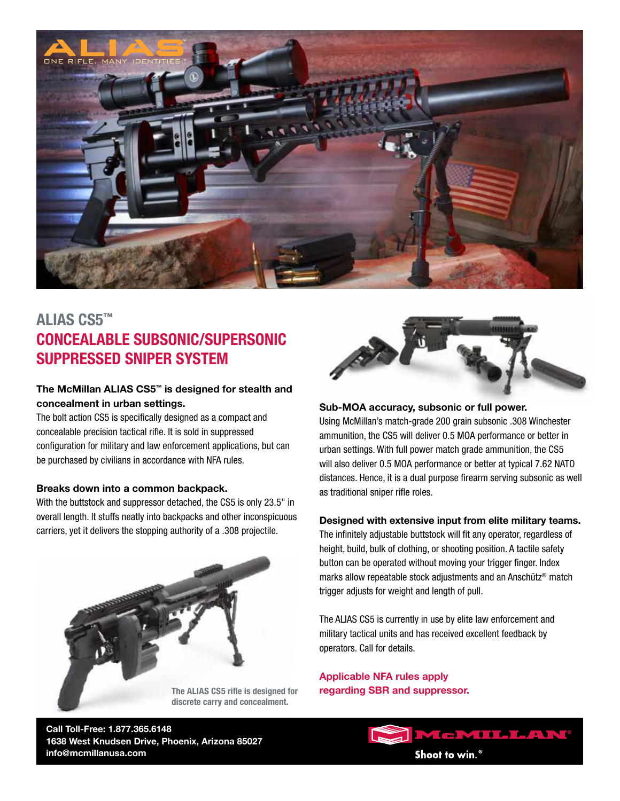

# **ALIAS CS5™ CONCEALABLE SUBSONIC/SUPERSONIC SUPPRESSED SNIPER SYSTEM**

### **The McMillan ALIAS CS5™ is designed for stealth and concealment in urban settings.**

The bolt action CS5 is specifically designed as a compact and concealable precision tactical rifle. It is sold in suppressed configuration for military and law enforcement applications, but can be purchased by civilians in accordance with NFA rules.

#### **Breaks down into a common backpack.**

With the buttstock and suppressor detached, the CS5 is only 23.5" in overall length. It stuffs neatly into backpacks and other inconspicuous carriers, yet it delivers the stopping authority of a .308 projectile.





#### **Sub-MOA accuracy, subsonic or full power.**

Using McMillan's match-grade 200 grain subsonic .308 Winchester ammunition, the CS5 will deliver 0.5 MOA performance or better in urban settings. With full power match grade ammunition, the CS5 will also deliver 0.5 MOA performance or better at typical 7.62 NATO distances. Hence, it is a dual purpose firearm serving subsonic as well as traditional sniper rifle roles.

#### **Designed with extensive input from elite military teams.**

The infinitely adjustable buttstock will fit any operator, regardless of height, build, bulk of clothing, or shooting position. A tactile safety button can be operated without moving your trigger finger. Index marks allow repeatable stock adjustments and an Anschütz® match trigger adjusts for weight and length of pull.

The ALIAS CS5 is currently in use by elite law enforcement and military tactical units and has received excellent feedback by operators. Call for details.

**Applicable NFA rules apply The ALIAS CS5 rifle is designed for regarding SBR and suppressor.**

**Call Toll-Free: 1.877.365.6148 1638 West Knudsen Drive, Phoenix, Arizona 85027 info@mcmillanusa.com**

**McMILLAN®** Shoot to win.<sup>®</sup>